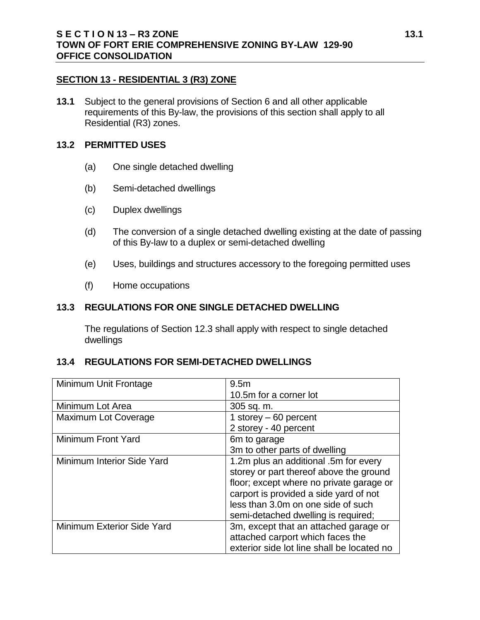#### **SECTION 13 - RESIDENTIAL 3 (R3) ZONE**

**13.1** Subject to the general provisions of Section 6 and all other applicable requirements of this By-law, the provisions of this section shall apply to all Residential (R3) zones.

#### **13.2 PERMITTED USES**

- (a) One single detached dwelling
- (b) Semi-detached dwellings
- (c) Duplex dwellings
- (d) The conversion of a single detached dwelling existing at the date of passing of this By-law to a duplex or semi-detached dwelling
- (e) Uses, buildings and structures accessory to the foregoing permitted uses
- (f) Home occupations

### **13.3 REGULATIONS FOR ONE SINGLE DETACHED DWELLING**

The regulations of Section 12.3 shall apply with respect to single detached dwellings

#### **13.4 REGULATIONS FOR SEMI-DETACHED DWELLINGS**

| Minimum Unit Frontage      | 9.5 <sub>m</sub>                           |  |
|----------------------------|--------------------------------------------|--|
|                            | 10.5m for a corner lot                     |  |
| Minimum Lot Area           | 305 sq. m.                                 |  |
| Maximum Lot Coverage       | 1 storey $-60$ percent                     |  |
|                            | 2 storey - 40 percent                      |  |
| Minimum Front Yard         | 6m to garage                               |  |
|                            | 3m to other parts of dwelling              |  |
| Minimum Interior Side Yard | 1.2m plus an additional .5m for every      |  |
|                            | storey or part thereof above the ground    |  |
|                            | floor; except where no private garage or   |  |
|                            | carport is provided a side yard of not     |  |
|                            | less than 3.0m on one side of such         |  |
|                            | semi-detached dwelling is required;        |  |
| Minimum Exterior Side Yard | 3m, except that an attached garage or      |  |
|                            | attached carport which faces the           |  |
|                            | exterior side lot line shall be located no |  |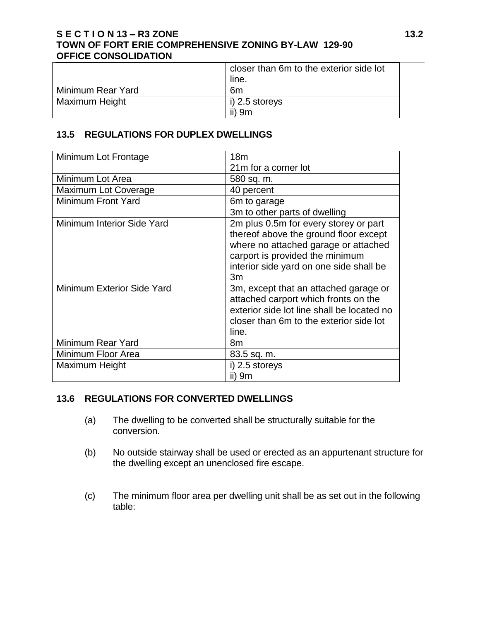### **S E C T I O N 13 – R3 ZONE 13.2 TOWN OF FORT ERIE COMPREHENSIVE ZONING BY-LAW 129-90 OFFICE CONSOLIDATION**

|                   | closer than 6m to the exterior side lot |
|-------------------|-----------------------------------------|
|                   | line.                                   |
| Minimum Rear Yard | 6m                                      |
| Maximum Height    | $\vert$ i) 2.5 storeys                  |
|                   | ii) 9m                                  |

## **13.5 REGULATIONS FOR DUPLEX DWELLINGS**

| Minimum Lot Frontage              | 18 <sub>m</sub>                                                                                                                                                                                            |  |
|-----------------------------------|------------------------------------------------------------------------------------------------------------------------------------------------------------------------------------------------------------|--|
|                                   | 21m for a corner lot                                                                                                                                                                                       |  |
| Minimum Lot Area                  | 580 sq. m.                                                                                                                                                                                                 |  |
| Maximum Lot Coverage              | 40 percent                                                                                                                                                                                                 |  |
| <b>Minimum Front Yard</b>         | 6m to garage                                                                                                                                                                                               |  |
|                                   | 3m to other parts of dwelling                                                                                                                                                                              |  |
| <b>Minimum Interior Side Yard</b> | 2m plus 0.5m for every storey or part<br>thereof above the ground floor except<br>where no attached garage or attached<br>carport is provided the minimum<br>interior side yard on one side shall be<br>3m |  |
| Minimum Exterior Side Yard        | 3m, except that an attached garage or<br>attached carport which fronts on the<br>exterior side lot line shall be located no<br>closer than 6m to the exterior side lot<br>line.                            |  |
| Minimum Rear Yard                 | 8 <sub>m</sub>                                                                                                                                                                                             |  |
| Minimum Floor Area                | 83.5 sq. m.                                                                                                                                                                                                |  |
| Maximum Height                    | i) 2.5 storeys                                                                                                                                                                                             |  |
|                                   | ii) 9m                                                                                                                                                                                                     |  |

### **13.6 REGULATIONS FOR CONVERTED DWELLINGS**

- (a) The dwelling to be converted shall be structurally suitable for the conversion.
- (b) No outside stairway shall be used or erected as an appurtenant structure for the dwelling except an unenclosed fire escape.
- (c) The minimum floor area per dwelling unit shall be as set out in the following table: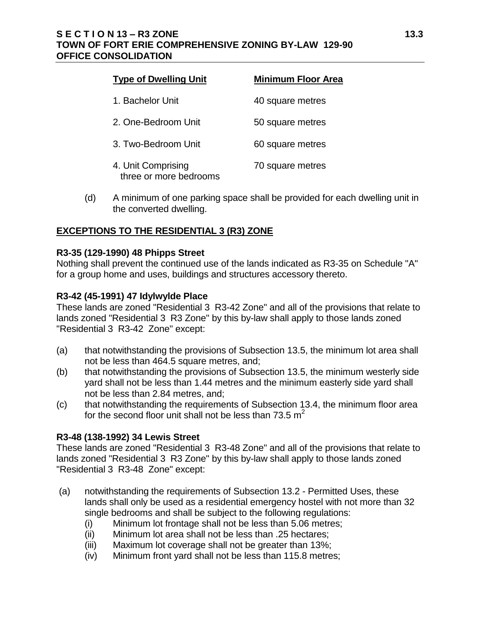## **S E C T I O N 13 – R3 ZONE 13.3 TOWN OF FORT ERIE COMPREHENSIVE ZONING BY-LAW 129-90 OFFICE CONSOLIDATION**

| <b>Type of Dwelling Unit</b>                 | <b>Minimum Floor Area</b> |
|----------------------------------------------|---------------------------|
| 1. Bachelor Unit                             | 40 square metres          |
| 2. One-Bedroom Unit                          | 50 square metres          |
| 3. Two-Bedroom Unit                          | 60 square metres          |
| 4. Unit Comprising<br>three or more bedrooms | 70 square metres          |

(d) A minimum of one parking space shall be provided for each dwelling unit in the converted dwelling.

# **EXCEPTIONS TO THE RESIDENTIAL 3 (R3) ZONE**

### **R3-35 (129-1990) 48 Phipps Street**

Nothing shall prevent the continued use of the lands indicated as R3-35 on Schedule "A" for a group home and uses, buildings and structures accessory thereto.

### **R3-42 (45-1991) 47 Idylwylde Place**

These lands are zoned "Residential 3 R3-42 Zone" and all of the provisions that relate to lands zoned "Residential 3 R3 Zone" by this by-law shall apply to those lands zoned "Residential 3 R3-42 Zone" except:

- (a) that notwithstanding the provisions of Subsection 13.5, the minimum lot area shall not be less than 464.5 square metres, and;
- (b) that notwithstanding the provisions of Subsection 13.5, the minimum westerly side yard shall not be less than 1.44 metres and the minimum easterly side yard shall not be less than 2.84 metres, and;
- (c) that notwithstanding the requirements of Subsection 13.4, the minimum floor area for the second floor unit shall not be less than 73.5  $m^2$

### **R3-48 (138-1992) 34 Lewis Street**

These lands are zoned "Residential 3 R3-48 Zone" and all of the provisions that relate to lands zoned "Residential 3 R3 Zone" by this by-law shall apply to those lands zoned "Residential 3 R3-48 Zone" except:

- (a) notwithstanding the requirements of Subsection 13.2 Permitted Uses, these lands shall only be used as a residential emergency hostel with not more than 32 single bedrooms and shall be subject to the following regulations:
	- (i) Minimum lot frontage shall not be less than 5.06 metres;
	- (ii) Minimum lot area shall not be less than .25 hectares;
	- (iii) Maximum lot coverage shall not be greater than 13%;
	- (iv) Minimum front yard shall not be less than 115.8 metres;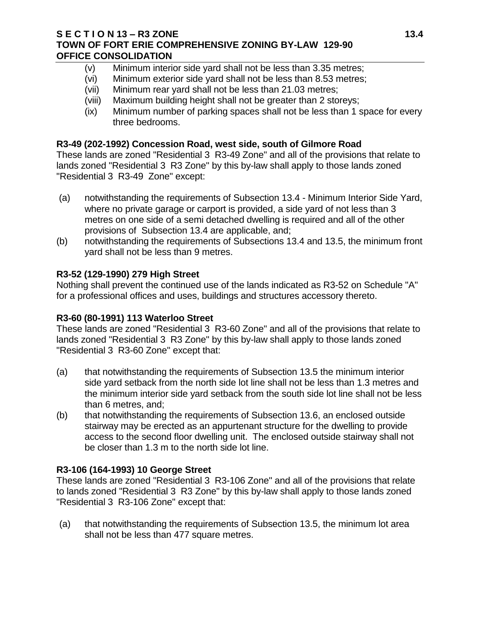#### **S E C T I O N 13 – R3 ZONE 13.4 TOWN OF FORT ERIE COMPREHENSIVE ZONING BY-LAW 129-90 OFFICE CONSOLIDATION**

- (v) Minimum interior side yard shall not be less than 3.35 metres;
- (vi) Minimum exterior side yard shall not be less than 8.53 metres;
- (vii) Minimum rear yard shall not be less than 21.03 metres;
- (viii) Maximum building height shall not be greater than 2 storeys;
- (ix) Minimum number of parking spaces shall not be less than 1 space for every three bedrooms.

### **R3-49 (202-1992) Concession Road, west side, south of Gilmore Road**

These lands are zoned "Residential 3 R3-49 Zone" and all of the provisions that relate to lands zoned "Residential 3 R3 Zone" by this by-law shall apply to those lands zoned "Residential 3 R3-49 Zone" except:

- (a) notwithstanding the requirements of Subsection 13.4 Minimum Interior Side Yard, where no private garage or carport is provided, a side yard of not less than 3 metres on one side of a semi detached dwelling is required and all of the other provisions of Subsection 13.4 are applicable, and;
- (b) notwithstanding the requirements of Subsections 13.4 and 13.5, the minimum front yard shall not be less than 9 metres.

## **R3-52 (129-1990) 279 High Street**

Nothing shall prevent the continued use of the lands indicated as R3-52 on Schedule "A" for a professional offices and uses, buildings and structures accessory thereto.

### **R3-60 (80-1991) 113 Waterloo Street**

These lands are zoned "Residential 3 R3-60 Zone" and all of the provisions that relate to lands zoned "Residential 3 R3 Zone" by this by-law shall apply to those lands zoned "Residential 3 R3-60 Zone" except that:

- (a) that notwithstanding the requirements of Subsection 13.5 the minimum interior side yard setback from the north side lot line shall not be less than 1.3 metres and the minimum interior side yard setback from the south side lot line shall not be less than 6 metres, and;
- (b) that notwithstanding the requirements of Subsection 13.6, an enclosed outside stairway may be erected as an appurtenant structure for the dwelling to provide access to the second floor dwelling unit. The enclosed outside stairway shall not be closer than 1.3 m to the north side lot line.

# **R3-106 (164-1993) 10 George Street**

These lands are zoned "Residential 3 R3-106 Zone" and all of the provisions that relate to lands zoned "Residential 3 R3 Zone" by this by-law shall apply to those lands zoned "Residential 3 R3-106 Zone" except that:

(a) that notwithstanding the requirements of Subsection 13.5, the minimum lot area shall not be less than 477 square metres.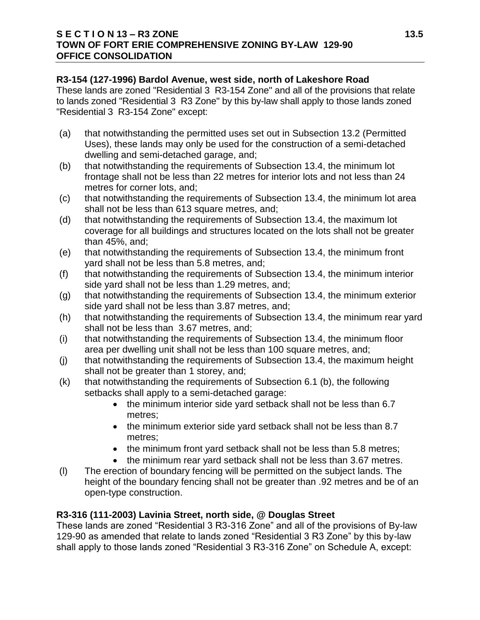### **S E C T I O N 13 – R3 ZONE 13.5 TOWN OF FORT ERIE COMPREHENSIVE ZONING BY-LAW 129-90 OFFICE CONSOLIDATION**

### **R3-154 (127-1996) Bardol Avenue, west side, north of Lakeshore Road**

These lands are zoned "Residential 3 R3-154 Zone" and all of the provisions that relate to lands zoned "Residential 3 R3 Zone" by this by-law shall apply to those lands zoned "Residential 3 R3-154 Zone" except:

- (a) that notwithstanding the permitted uses set out in Subsection 13.2 (Permitted Uses), these lands may only be used for the construction of a semi-detached dwelling and semi-detached garage, and;
- (b) that notwithstanding the requirements of Subsection 13.4, the minimum lot frontage shall not be less than 22 metres for interior lots and not less than 24 metres for corner lots, and;
- (c) that notwithstanding the requirements of Subsection 13.4, the minimum lot area shall not be less than 613 square metres, and;
- (d) that notwithstanding the requirements of Subsection 13.4, the maximum lot coverage for all buildings and structures located on the lots shall not be greater than 45%, and;
- (e) that notwithstanding the requirements of Subsection 13.4, the minimum front yard shall not be less than 5.8 metres, and;
- (f) that notwithstanding the requirements of Subsection 13.4, the minimum interior side yard shall not be less than 1.29 metres, and;
- (g) that notwithstanding the requirements of Subsection 13.4, the minimum exterior side yard shall not be less than 3.87 metres, and;
- (h) that notwithstanding the requirements of Subsection 13.4, the minimum rear yard shall not be less than 3.67 metres, and;
- (i) that notwithstanding the requirements of Subsection 13.4, the minimum floor area per dwelling unit shall not be less than 100 square metres, and;
- (j) that notwithstanding the requirements of Subsection 13.4, the maximum height shall not be greater than 1 storey, and;
- (k) that notwithstanding the requirements of Subsection 6.1 (b), the following setbacks shall apply to a semi-detached garage:
	- the minimum interior side yard setback shall not be less than 6.7 metres;
	- the minimum exterior side yard setback shall not be less than 8.7 metres;
	- the minimum front yard setback shall not be less than 5.8 metres;
	- the minimum rear yard setback shall not be less than 3.67 metres.
- (l) The erection of boundary fencing will be permitted on the subject lands. The height of the boundary fencing shall not be greater than .92 metres and be of an open-type construction.

# **R3-316 (111-2003) Lavinia Street, north side, @ Douglas Street**

These lands are zoned "Residential 3 R3-316 Zone" and all of the provisions of By-law 129-90 as amended that relate to lands zoned "Residential 3 R3 Zone" by this by-law shall apply to those lands zoned "Residential 3 R3-316 Zone" on Schedule A, except: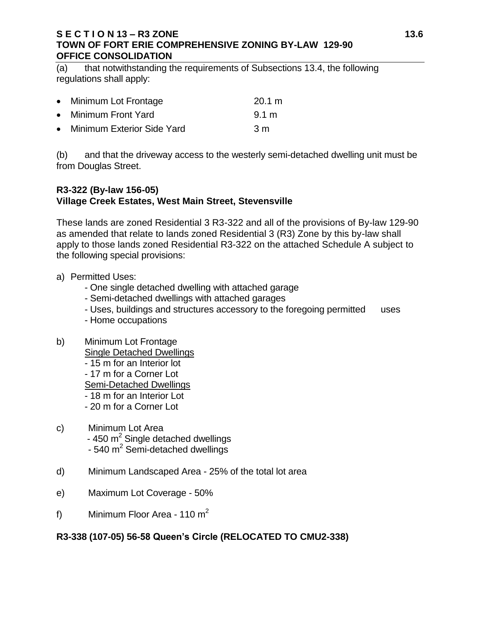### **S E C T I O N 13 – R3 ZONE 13.6 TOWN OF FORT ERIE COMPREHENSIVE ZONING BY-LAW 129-90 OFFICE CONSOLIDATION**

(a) that notwithstanding the requirements of Subsections 13.4, the following regulations shall apply:

| • Minimum Lot Frontage       | 20.1 m |
|------------------------------|--------|
| • Minimum Front Yard         | 9.1 m  |
| • Minimum Exterior Side Yard | 3m     |

(b) and that the driveway access to the westerly semi-detached dwelling unit must be from Douglas Street.

## **R3-322 (By-law 156-05) Village Creek Estates, West Main Street, Stevensville**

These lands are zoned Residential 3 R3-322 and all of the provisions of By-law 129-90 as amended that relate to lands zoned Residential 3 (R3) Zone by this by-law shall apply to those lands zoned Residential R3-322 on the attached Schedule A subject to the following special provisions:

- a) Permitted Uses:
	- One single detached dwelling with attached garage
	- Semi-detached dwellings with attached garages
	- Uses, buildings and structures accessory to the foregoing permitted uses
	- Home occupations
- b) Minimum Lot Frontage
	- Single Detached Dwellings
	- 15 m for an Interior lot
	- 17 m for a Corner Lot
	- Semi-Detached Dwellings
	- 18 m for an Interior Lot
	- 20 m for a Corner Lot
- c) Minimum Lot Area - 450  $m^2$  Single detached dwellings - 540  $m^2$  Semi-detached dwellings
- d) Minimum Landscaped Area 25% of the total lot area
- e) Maximum Lot Coverage 50%
- f) Minimum Floor Area 110  $m<sup>2</sup>$

# **R3-338 (107-05) 56-58 Queen's Circle (RELOCATED TO CMU2-338)**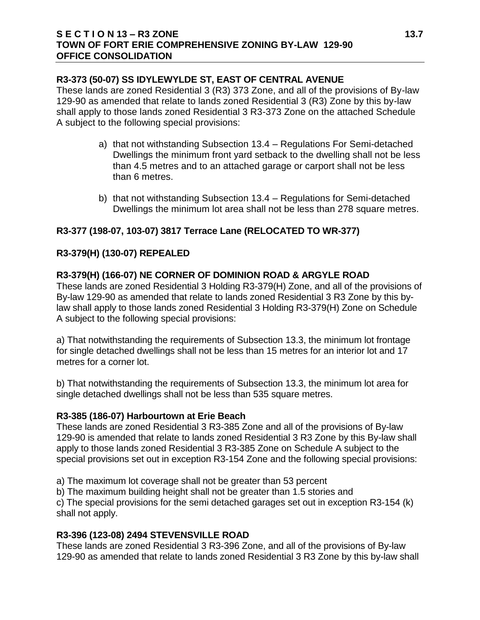### **S E C T I O N 13 – R3 ZONE 13.7 TOWN OF FORT ERIE COMPREHENSIVE ZONING BY-LAW 129-90 OFFICE CONSOLIDATION**

### **R3-373 (50-07) SS IDYLEWYLDE ST, EAST OF CENTRAL AVENUE**

These lands are zoned Residential 3 (R3) 373 Zone, and all of the provisions of By-law 129-90 as amended that relate to lands zoned Residential 3 (R3) Zone by this by-law shall apply to those lands zoned Residential 3 R3-373 Zone on the attached Schedule A subject to the following special provisions:

- a) that not withstanding Subsection 13.4 Regulations For Semi-detached Dwellings the minimum front yard setback to the dwelling shall not be less than 4.5 metres and to an attached garage or carport shall not be less than 6 metres.
- b) that not withstanding Subsection 13.4 Regulations for Semi-detached Dwellings the minimum lot area shall not be less than 278 square metres.

## **R3-377 (198-07, 103-07) 3817 Terrace Lane (RELOCATED TO WR-377)**

## **R3-379(H) (130-07) REPEALED**

### **R3-379(H) (166-07) NE CORNER OF DOMINION ROAD & ARGYLE ROAD**

These lands are zoned Residential 3 Holding R3-379(H) Zone, and all of the provisions of By-law 129-90 as amended that relate to lands zoned Residential 3 R3 Zone by this bylaw shall apply to those lands zoned Residential 3 Holding R3-379(H) Zone on Schedule A subject to the following special provisions:

a) That notwithstanding the requirements of Subsection 13.3, the minimum lot frontage for single detached dwellings shall not be less than 15 metres for an interior lot and 17 metres for a corner lot.

b) That notwithstanding the requirements of Subsection 13.3, the minimum lot area for single detached dwellings shall not be less than 535 square metres.

#### **R3-385 (186-07) Harbourtown at Erie Beach**

These lands are zoned Residential 3 R3-385 Zone and all of the provisions of By-law 129-90 is amended that relate to lands zoned Residential 3 R3 Zone by this By-law shall apply to those lands zoned Residential 3 R3-385 Zone on Schedule A subject to the special provisions set out in exception R3-154 Zone and the following special provisions:

a) The maximum lot coverage shall not be greater than 53 percent

b) The maximum building height shall not be greater than 1.5 stories and

c) The special provisions for the semi detached garages set out in exception R3-154 (k) shall not apply.

### **R3-396 (123-08) 2494 STEVENSVILLE ROAD**

These lands are zoned Residential 3 R3-396 Zone, and all of the provisions of By-law 129-90 as amended that relate to lands zoned Residential 3 R3 Zone by this by-law shall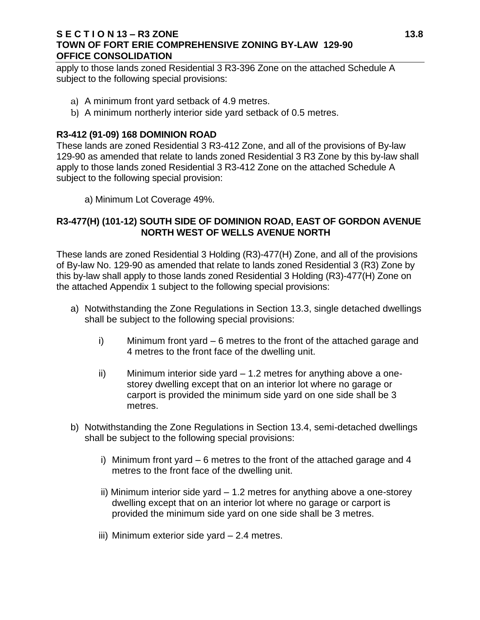### **S E C T I O N 13 – R3 ZONE 13.8 TOWN OF FORT ERIE COMPREHENSIVE ZONING BY-LAW 129-90 OFFICE CONSOLIDATION**

apply to those lands zoned Residential 3 R3-396 Zone on the attached Schedule A subject to the following special provisions:

- a) A minimum front yard setback of 4.9 metres.
- b) A minimum northerly interior side yard setback of 0.5 metres.

### **R3-412 (91-09) 168 DOMINION ROAD**

These lands are zoned Residential 3 R3-412 Zone, and all of the provisions of By-law 129-90 as amended that relate to lands zoned Residential 3 R3 Zone by this by-law shall apply to those lands zoned Residential 3 R3-412 Zone on the attached Schedule A subject to the following special provision:

a) Minimum Lot Coverage 49%.

### **R3-477(H) (101-12) SOUTH SIDE OF DOMINION ROAD, EAST OF GORDON AVENUE NORTH WEST OF WELLS AVENUE NORTH**

These lands are zoned Residential 3 Holding (R3)-477(H) Zone, and all of the provisions of By-law No. 129-90 as amended that relate to lands zoned Residential 3 (R3) Zone by this by-law shall apply to those lands zoned Residential 3 Holding (R3)-477(H) Zone on the attached Appendix 1 subject to the following special provisions:

- a) Notwithstanding the Zone Regulations in Section 13.3, single detached dwellings shall be subject to the following special provisions:
	- i) Minimum front yard 6 metres to the front of the attached garage and 4 metres to the front face of the dwelling unit.
	- ii) Minimum interior side yard 1.2 metres for anything above a onestorey dwelling except that on an interior lot where no garage or carport is provided the minimum side yard on one side shall be 3 metres.
- b) Notwithstanding the Zone Regulations in Section 13.4, semi-detached dwellings shall be subject to the following special provisions:
	- i) Minimum front yard 6 metres to the front of the attached garage and 4 metres to the front face of the dwelling unit.
	- ii) Minimum interior side yard 1.2 metres for anything above a one-storey dwelling except that on an interior lot where no garage or carport is provided the minimum side yard on one side shall be 3 metres.
	- iii) Minimum exterior side yard 2.4 metres.